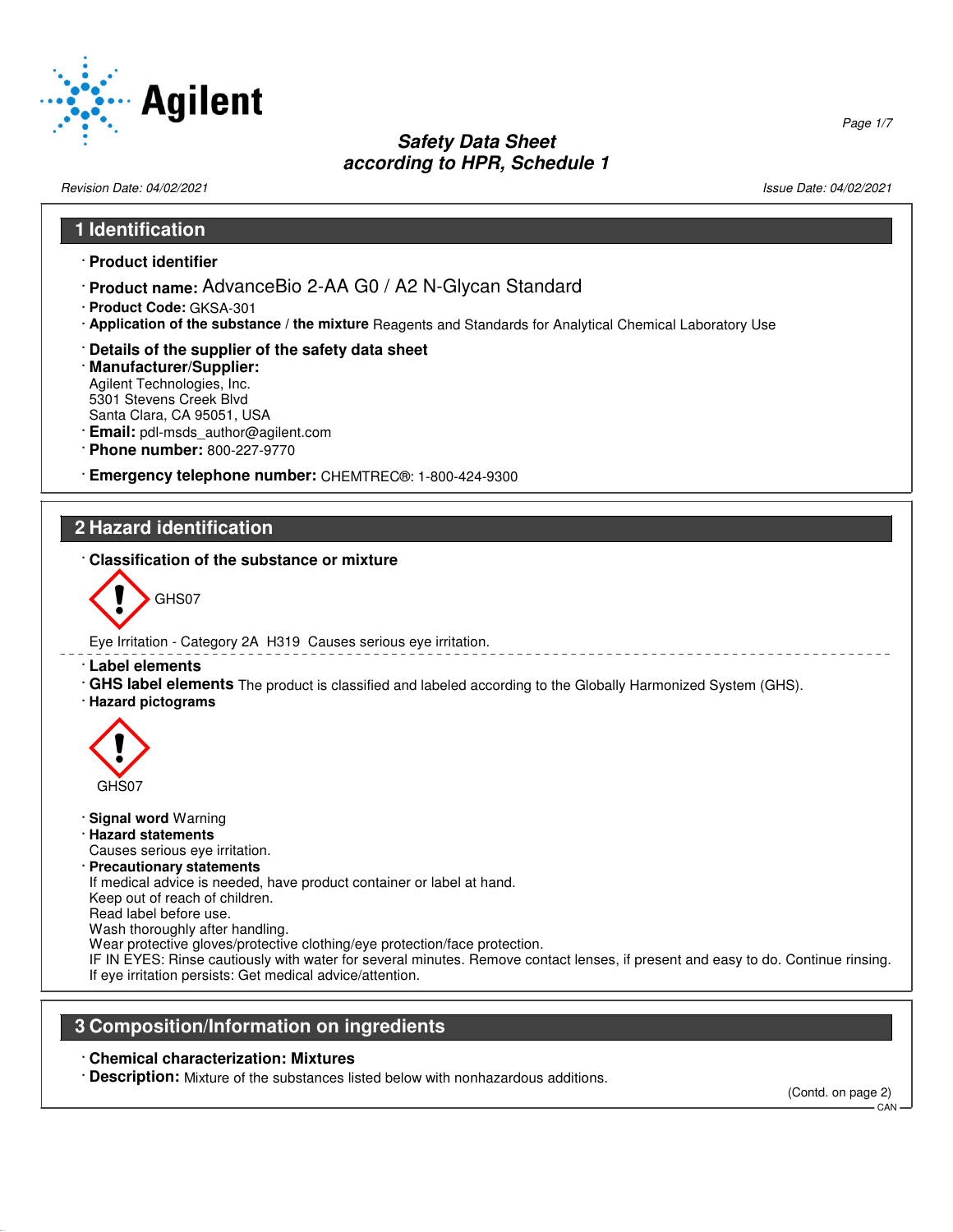

Revision Date: 04/02/2021 2012 2021 2022 20:30 20:30 20:30 20:30 20:30 20:30 20:30 20:30 20:30 20:30 20:30 20:30 20:30 20:30 20:30 20:30 20:30 20:30 20:30 20:30 20:30 20:30 20:30 20:30 20:30 20:30 20:30 20:30 20:30 20:30 2

52.0.1.1

Page 1/7

# **1 Identification** · **Product identifier** · **Product name:** AdvanceBio 2-AA G0 / A2 N-Glycan Standard · **Product Code:** GKSA-301 · **Application of the substance / the mixture** Reagents and Standards for Analytical Chemical Laboratory Use · **Details of the supplier of the safety data sheet** · **Manufacturer/Supplier:** Agilent Technologies, Inc. 5301 Stevens Creek Blvd Santa Clara, CA 95051, USA · **Email:** pdl-msds\_author@agilent.com · **Phone number:** 800-227-9770 · **Emergency telephone number:** CHEMTREC®: 1-800-424-9300 **2 Hazard identification** · **Classification of the substance or mixture** GHS07 Eye Irritation - Category 2A H319 Causes serious eye irritation. · **Label elements** · **GHS label elements** The product is classified and labeled according to the Globally Harmonized System (GHS). · **Hazard pictograms**  $\langle \cdot \rangle$ GHS07 · **Signal word** Warning · **Hazard statements** Causes serious eye irritation. · **Precautionary statements** If medical advice is needed, have product container or label at hand. Keep out of reach of children. Read label before use. Wash thoroughly after handling. Wear protective gloves/protective clothing/eye protection/face protection. IF IN EYES: Rinse cautiously with water for several minutes. Remove contact lenses, if present and easy to do. Continue rinsing. If eye irritation persists: Get medical advice/attention. **3 Composition/Information on ingredients** · **Chemical characterization: Mixtures** · **Description:** Mixture of the substances listed below with nonhazardous additions.

 $CAN$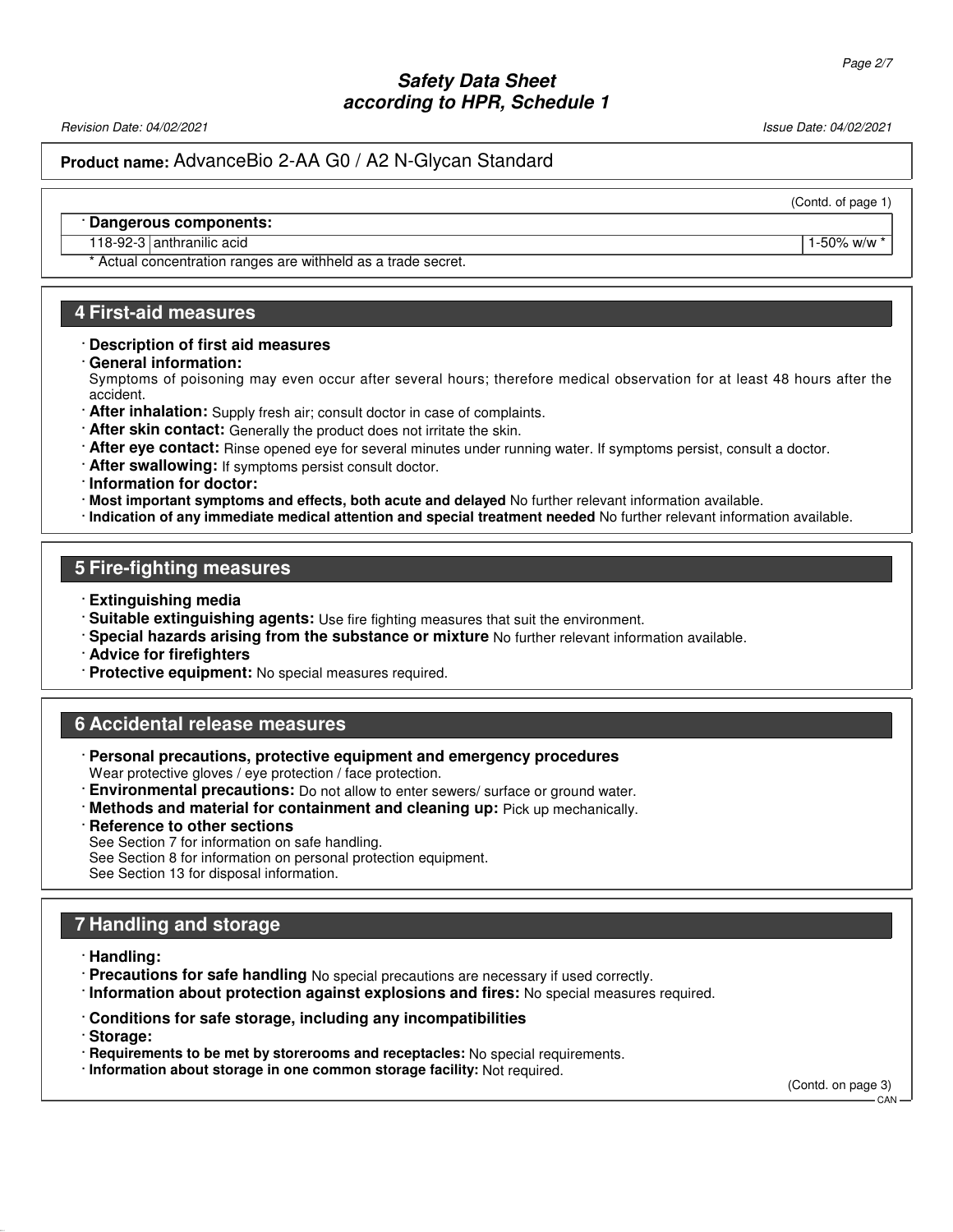Revision Date: 04/02/2021 2012 19:00 19:00 19:00 19:00 19:00 19:00 19:00 19:00 19:00 19:00 19:00 19:00 19:00 1

### **Product name:** AdvanceBio 2-AA G0 / A2 N-Glycan Standard

(Contd. of page 1)

#### · **Dangerous components:**

#### 118-92-3 anthranilic acid 1-50% w/w \*

\* Actual concentration ranges are withheld as a trade secret.

#### **4 First-aid measures**

#### · **Description of first aid measures**

· **General information:**

Symptoms of poisoning may even occur after several hours; therefore medical observation for at least 48 hours after the accident.

- · **After inhalation:** Supply fresh air; consult doctor in case of complaints.
- · **After skin contact:** Generally the product does not irritate the skin.
- · **After eye contact:** Rinse opened eye for several minutes under running water. If symptoms persist, consult a doctor.
- · **After swallowing:** If symptoms persist consult doctor.

· **Information for doctor:**

- · **Most important symptoms and effects, both acute and delayed** No further relevant information available.
- · **Indication of any immediate medical attention and special treatment needed** No further relevant information available.

#### **5 Fire-fighting measures**

- · **Extinguishing media**
- · **Suitable extinguishing agents:** Use fire fighting measures that suit the environment.
- · **Special hazards arising from the substance or mixture** No further relevant information available.
- · **Advice for firefighters**
- · **Protective equipment:** No special measures required.

#### **6 Accidental release measures**

- · **Personal precautions, protective equipment and emergency procedures** Wear protective gloves / eye protection / face protection.
- · **Environmental precautions:** Do not allow to enter sewers/ surface or ground water.
- · **Methods and material for containment and cleaning up:** Pick up mechanically.
- **Reference to other sections**
- See Section 7 for information on safe handling.
- See Section 8 for information on personal protection equipment.

See Section 13 for disposal information.

#### **7 Handling and storage**

- · **Handling:**
- · **Precautions for safe handling** No special precautions are necessary if used correctly.
- · **Information about protection against explosions and fires:** No special measures required.
- · **Conditions for safe storage, including any incompatibilities**
- · **Storage:**

52.0.1.1

- · **Requirements to be met by storerooms and receptacles:** No special requirements.
- · **Information about storage in one common storage facility:** Not required.

(Contd. on page 3) **CAN**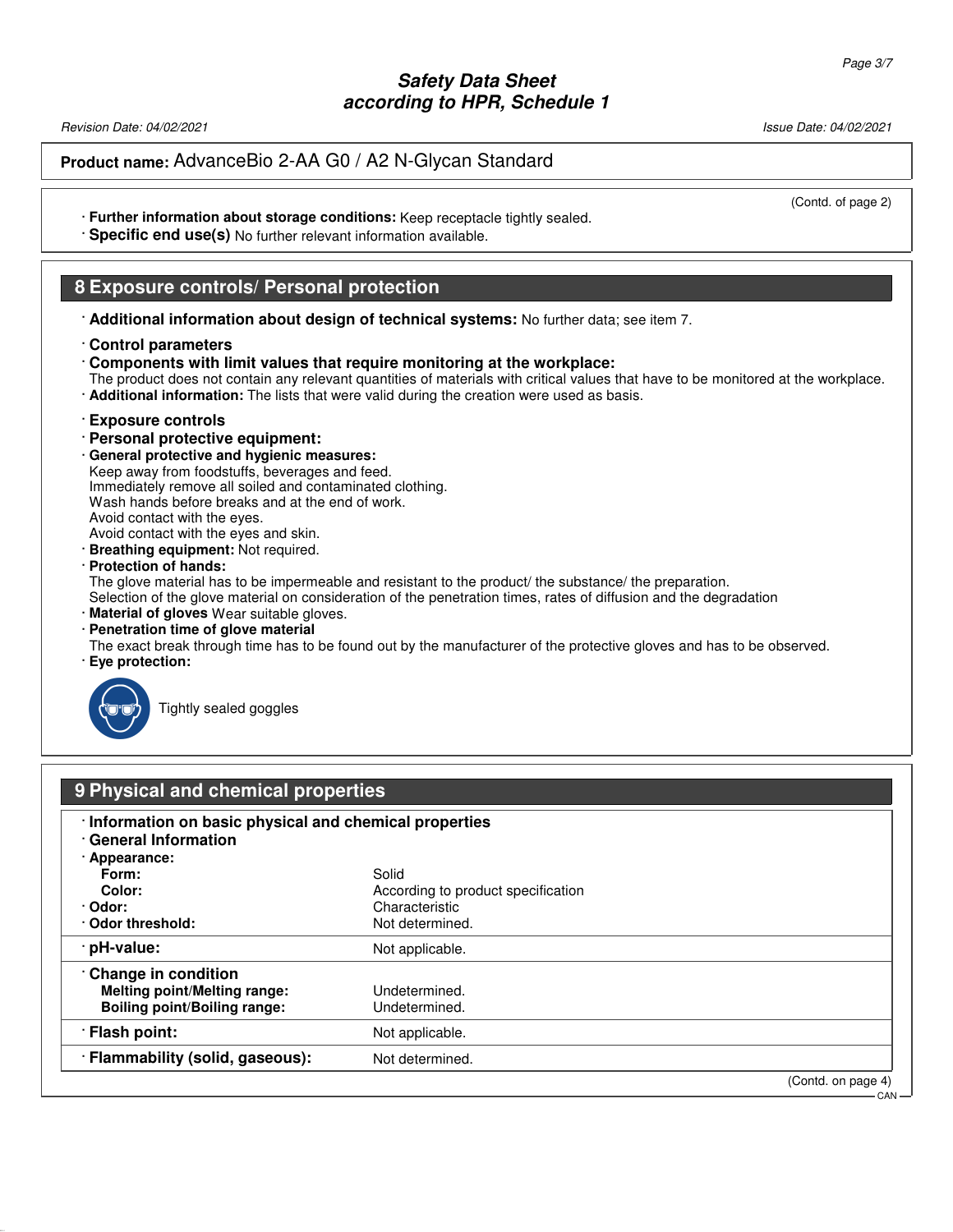Revision Date: 04/02/2021 2012 2021 2022 20:30 20:30 20:30 20:30 20:30 20:30 20:30 20:30 20:30 20:30 20:30 20:30 20:30 20:30 20:30 20:30 20:30 20:30 20:30 20:30 20:30 20:30 20:30 20:30 20:30 20:30 20:30 20:30 20:30 20:30 2

## **Product name:** AdvanceBio 2-AA G0 / A2 N-Glycan Standard

(Contd. of page 2)

- · **Further information about storage conditions:** Keep receptacle tightly sealed.
- · **Specific end use(s)** No further relevant information available.

## **8 Exposure controls/ Personal protection**

· **Additional information about design of technical systems:** No further data; see item 7.

#### · **Control parameters**

- · **Components with limit values that require monitoring at the workplace:**
- The product does not contain any relevant quantities of materials with critical values that have to be monitored at the workplace.
- · **Additional information:** The lists that were valid during the creation were used as basis.

#### · **Exposure controls**

- · **Personal protective equipment:**
- · **General protective and hygienic measures:**
- Keep away from foodstuffs, beverages and feed.

Immediately remove all soiled and contaminated clothing.

Wash hands before breaks and at the end of work. Avoid contact with the eyes.

Avoid contact with the eyes and skin.

- · **Breathing equipment:** Not required.
- · **Protection of hands:**

The glove material has to be impermeable and resistant to the product/ the substance/ the preparation.

Selection of the glove material on consideration of the penetration times, rates of diffusion and the degradation

- · **Material of gloves** Wear suitable gloves.
- · **Penetration time of glove material**
- The exact break through time has to be found out by the manufacturer of the protective gloves and has to be observed.
- · **Eye protection:**



52.0.1.1

Tightly sealed goggles

| 9 Physical and chemical properties                                                                                                                      |                                                                                  |                    |  |
|---------------------------------------------------------------------------------------------------------------------------------------------------------|----------------------------------------------------------------------------------|--------------------|--|
| · Information on basic physical and chemical properties<br><b>General Information</b><br>· Appearance:<br>Form:<br>Color:<br>· Odor:<br>Odor threshold: | Solid<br>According to product specification<br>Characteristic<br>Not determined. |                    |  |
| · pH-value:                                                                                                                                             | Not applicable.                                                                  |                    |  |
| Change in condition<br><b>Melting point/Melting range:</b><br><b>Boiling point/Boiling range:</b>                                                       | Undetermined.<br>Undetermined.                                                   |                    |  |
| · Flash point:                                                                                                                                          | Not applicable.                                                                  |                    |  |
| · Flammability (solid, gaseous):                                                                                                                        | Not determined.                                                                  |                    |  |
|                                                                                                                                                         |                                                                                  | (Contd. on page 4) |  |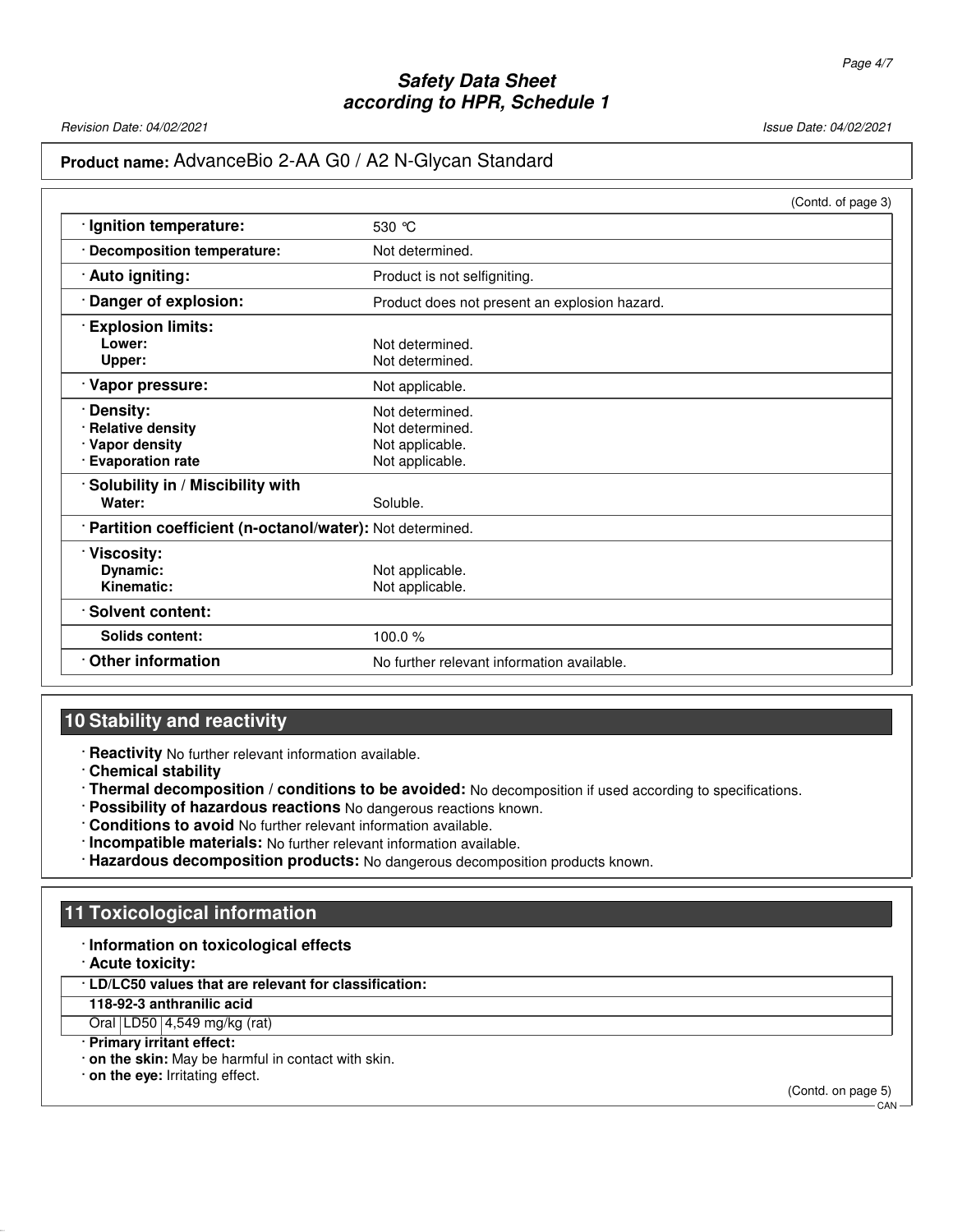Revision Date: 04/02/2021 2012 2021 2022 20:30 20:30 20:30 20:30 20:30 20:30 20:30 20:30 20:30 20:30 20:30 20:30 20:30 20:30 20:30 20:30 20:30 20:30 20:30 20:30 20:30 20:30 20:30 20:30 20:30 20:30 20:30 20:30 20:30 20:30 2

## **Product name:** AdvanceBio 2-AA G0 / A2 N-Glycan Standard

|                                                            | (Contd. of page 3)                            |
|------------------------------------------------------------|-----------------------------------------------|
| · Ignition temperature:                                    | 530 $\degree$ C                               |
| · Decomposition temperature:                               | Not determined.                               |
| · Auto igniting:                                           | Product is not selfigniting.                  |
| Danger of explosion:                                       | Product does not present an explosion hazard. |
| <b>Explosion limits:</b>                                   |                                               |
| Lower:                                                     | Not determined.                               |
| Upper:                                                     | Not determined.                               |
| Vapor pressure:                                            | Not applicable.                               |
| Density:                                                   | Not determined.                               |
| · Relative density                                         | Not determined.                               |
| · Vapor density                                            | Not applicable.                               |
| · Evaporation rate                                         | Not applicable.                               |
| Solubility in / Miscibility with                           |                                               |
| Water:                                                     | Soluble.                                      |
| · Partition coefficient (n-octanol/water): Not determined. |                                               |
| · Viscosity:                                               |                                               |
| Dynamic:                                                   | Not applicable.                               |
| Kinematic:                                                 | Not applicable.                               |
| · Solvent content:                                         |                                               |
| Solids content:                                            | 100.0%                                        |
| <b>Other information</b>                                   | No further relevant information available.    |

## **10 Stability and reactivity**

· **Reactivity** No further relevant information available.

· **Chemical stability**

- · **Thermal decomposition / conditions to be avoided:** No decomposition if used according to specifications.
- · **Possibility of hazardous reactions** No dangerous reactions known.
- · **Conditions to avoid** No further relevant information available.
- · **Incompatible materials:** No further relevant information available.
- · **Hazardous decomposition products:** No dangerous decomposition products known.

## **11 Toxicological information**

#### · **Information on toxicological effects**

· **Acute toxicity:**

52.0.1.1

· **LD/LC50 values that are relevant for classification:**

**118-92-3 anthranilic acid**

Oral LD50 4,549 mg/kg (rat)

- · **Primary irritant effect:**
- · **on the skin:** May be harmful in contact with skin.

· **on the eye:** Irritating effect.

(Contd. on page 5)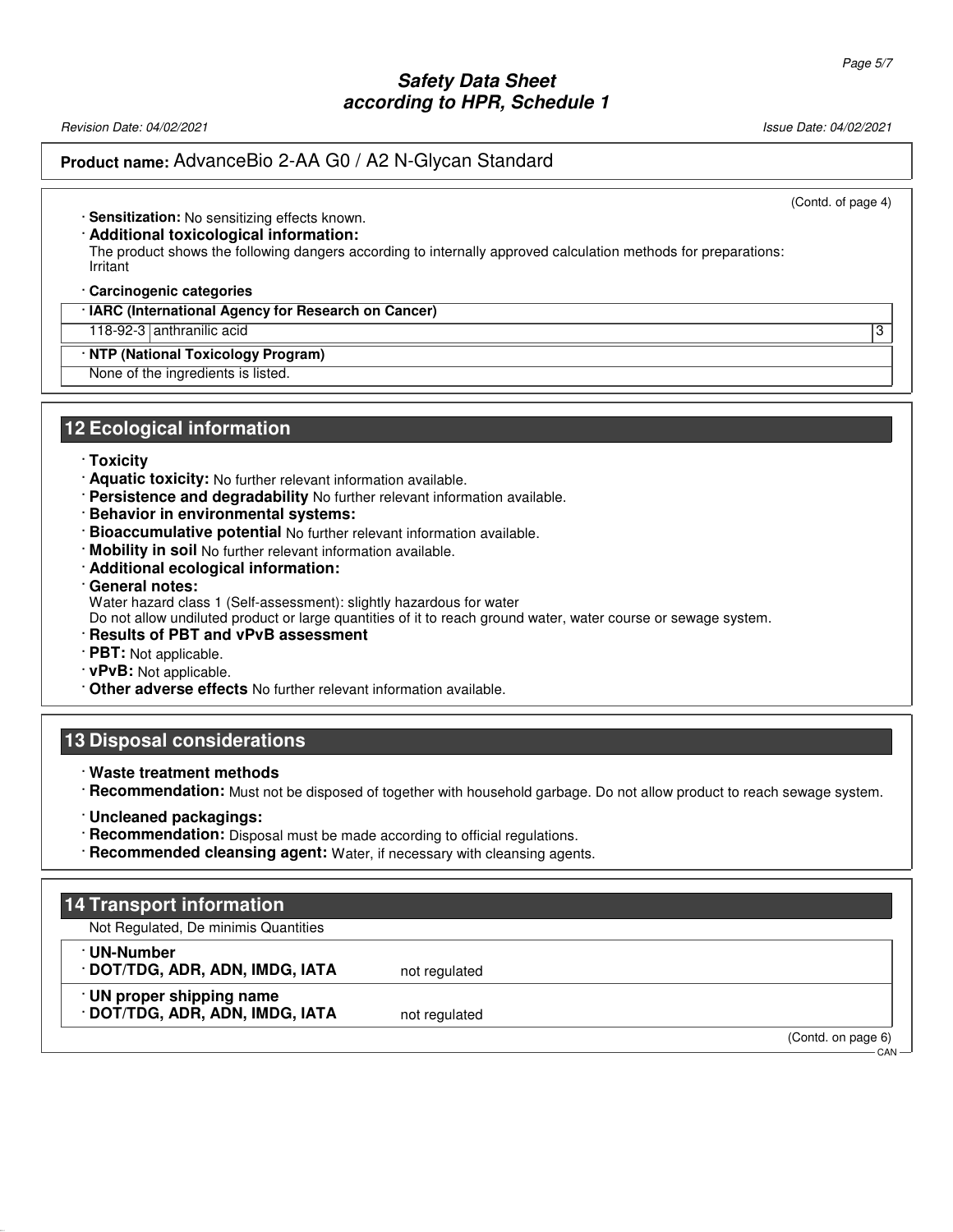Revision Date: 04/02/2021 2021

### **Product name:** AdvanceBio 2-AA G0 / A2 N-Glycan Standard

(Contd. of page 4)

· **Sensitization:** No sensitizing effects known.

· **Additional toxicological information:**

The product shows the following dangers according to internally approved calculation methods for preparations: Irritant

· **Carcinogenic categories**

· **IARC (International Agency for Research on Cancer)**

118-92-3 anthranilic acid 3

· **NTP (National Toxicology Program)**

None of the ingredients is listed.

#### **12 Ecological information**

- · **Toxicity**
- · **Aquatic toxicity:** No further relevant information available.
- · **Persistence and degradability** No further relevant information available.
- · **Behavior in environmental systems:**
- · **Bioaccumulative potential** No further relevant information available.
- · **Mobility in soil** No further relevant information available.
- · **Additional ecological information:**
- · **General notes:**
- Water hazard class 1 (Self-assessment): slightly hazardous for water

Do not allow undiluted product or large quantities of it to reach ground water, water course or sewage system.

- · **Results of PBT and vPvB assessment**
- · **PBT:** Not applicable.
- · **vPvB:** Not applicable.
- · **Other adverse effects** No further relevant information available.

#### **13 Disposal considerations**

- · **Waste treatment methods**
- · **Recommendation:** Must not be disposed of together with household garbage. Do not allow product to reach sewage system.
- · **Uncleaned packagings:**
- · **Recommendation:** Disposal must be made according to official regulations.
- · **Recommended cleansing agent:** Water, if necessary with cleansing agents.

### **14 Transport information**

Not Regulated, De minimis Quantities

· **UN-Number**

52.0.1.1

· **DOT/TDG, ADR, ADN, IMDG, IATA** not regulated · **UN proper shipping name**

**DOT/TDG, ADR, ADN, IMDG, IATA** not regulated

(Contd. on page 6)

**CAN**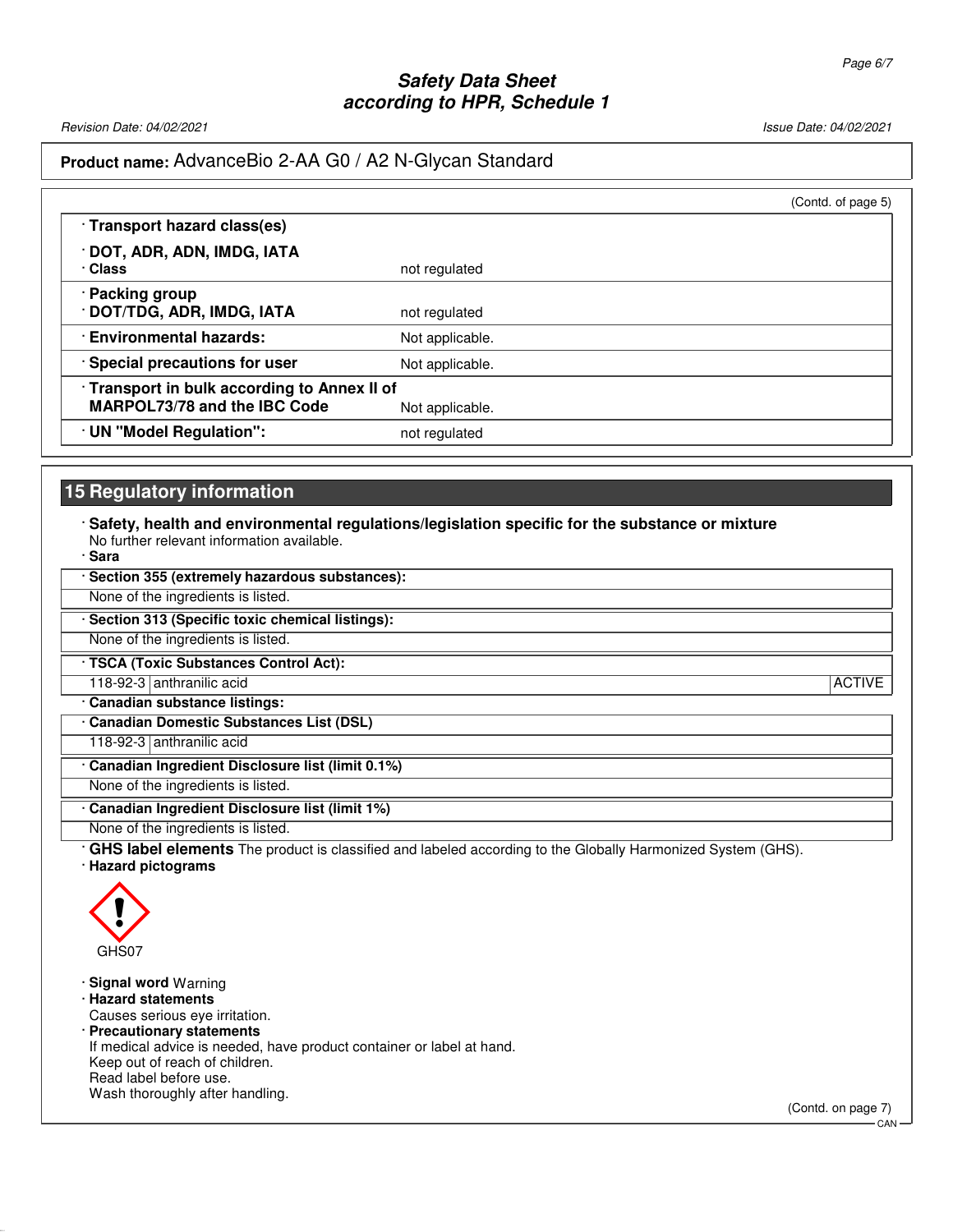Revision Date: 04/02/2021 2020 12:00 2020 2021 20:00 20:00 20:00 20:00 20:00 20:00 20:00 20:00 20:00 20:00 20:0

# **Product name:** AdvanceBio 2-AA G0 / A2 N-Glycan Standard

|                                                                            | (Contd. of page 5) |
|----------------------------------------------------------------------------|--------------------|
| · Transport hazard class(es)                                               |                    |
| · DOT, ADR, ADN, IMDG, IATA<br>· Class                                     | not regulated      |
| · Packing group<br>· DOT/TDG, ADR, IMDG, IATA                              | not regulated      |
| <b>Environmental hazards:</b>                                              | Not applicable.    |
| · Special precautions for user                                             | Not applicable.    |
| Transport in bulk according to Annex II of<br>MARPOL73/78 and the IBC Code | Not applicable.    |
| · UN "Model Regulation":                                                   | not regulated      |

# **15 Regulatory information**

· **Safety, health and environmental regulations/legislation specific for the substance or mixture** No further relevant information available.

| · Sara                                                                                                                                    |               |
|-------------------------------------------------------------------------------------------------------------------------------------------|---------------|
| · Section 355 (extremely hazardous substances):                                                                                           |               |
| None of the ingredients is listed.                                                                                                        |               |
| Section 313 (Specific toxic chemical listings):                                                                                           |               |
| None of the ingredients is listed.                                                                                                        |               |
| · TSCA (Toxic Substances Control Act):                                                                                                    |               |
| 118-92-3 anthranilic acid                                                                                                                 | <b>ACTIVE</b> |
| · Canadian substance listings:                                                                                                            |               |
| <b>Canadian Domestic Substances List (DSL)</b>                                                                                            |               |
| 118-92-3 anthranilic acid                                                                                                                 |               |
| Canadian Ingredient Disclosure list (limit 0.1%)                                                                                          |               |
| None of the ingredients is listed.                                                                                                        |               |
| Canadian Ingredient Disclosure list (limit 1%)                                                                                            |               |
| None of the ingredients is listed.                                                                                                        |               |
| <b>GHS label elements</b> The product is classified and labeled according to the Globally Harmonized System (GHS).<br>· Hazard pictograms |               |



52.0.1.1

· **Signal word** Warning · **Hazard statements** Causes serious eye irritation. · **Precautionary statements** If medical advice is needed, have product container or label at hand. Keep out of reach of children. Read label before use. Wash thoroughly after handling.

(Contd. on page 7)

CAN